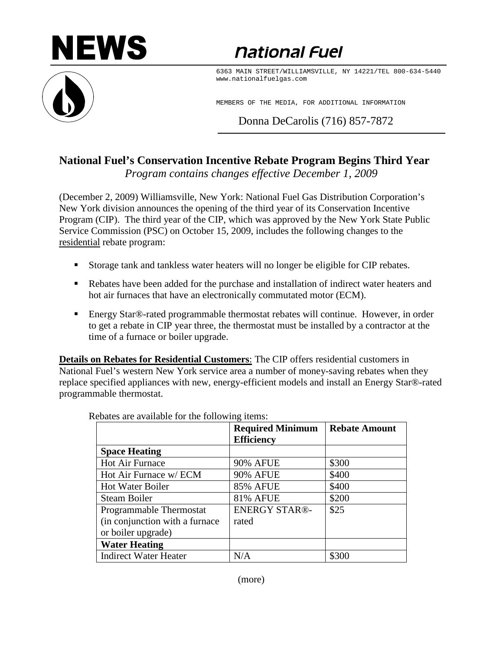

*<u>national Fuel</u>* 

6363 MAIN STREET/WILLIAMSVILLE, NY 14221/TEL 800-634-5440 www.nationalfuelgas.com

MEMBERS OF THE MEDIA, FOR ADDITIONAL INFORMATION

Donna DeCarolis (716) 857-7872

## **National Fuel's Conservation Incentive Rebate Program Begins Third Year**

*Program contains changes effective December 1, 2009* 

(December 2, 2009) Williamsville, New York: National Fuel Gas Distribution Corporation's New York division announces the opening of the third year of its Conservation Incentive Program (CIP). The third year of the CIP, which was approved by the New York State Public Service Commission (PSC) on October 15, 2009, includes the following changes to the residential rebate program:

- Storage tank and tankless water heaters will no longer be eligible for CIP rebates.
- Rebates have been added for the purchase and installation of indirect water heaters and hot air furnaces that have an electronically commutated motor (ECM).
- Energy Star®-rated programmable thermostat rebates will continue. However, in order to get a rebate in CIP year three, the thermostat must be installed by a contractor at the time of a furnace or boiler upgrade.

**Details on Rebates for Residential Customers**: The CIP offers residential customers in National Fuel's western New York service area a number of money-saving rebates when they replace specified appliances with new, energy-efficient models and install an Energy Star®-rated programmable thermostat.

|                                 | <b>Required Minimum</b><br><b>Efficiency</b> | <b>Rebate Amount</b> |
|---------------------------------|----------------------------------------------|----------------------|
| <b>Space Heating</b>            |                                              |                      |
| Hot Air Furnace                 | <b>90% AFUE</b>                              | \$300                |
| Hot Air Furnace w/ ECM          | <b>90% AFUE</b>                              | \$400                |
| <b>Hot Water Boiler</b>         | <b>85% AFUE</b>                              | \$400                |
| Steam Boiler                    | <b>81% AFUE</b>                              | \$200                |
| Programmable Thermostat         | <b>ENERGY STAR®-</b>                         | \$25                 |
| (in conjunction with a furnace) | rated                                        |                      |
| or boiler upgrade)              |                                              |                      |
| <b>Water Heating</b>            |                                              |                      |
| <b>Indirect Water Heater</b>    | N/A                                          | \$300                |

Rebates are available for the following items: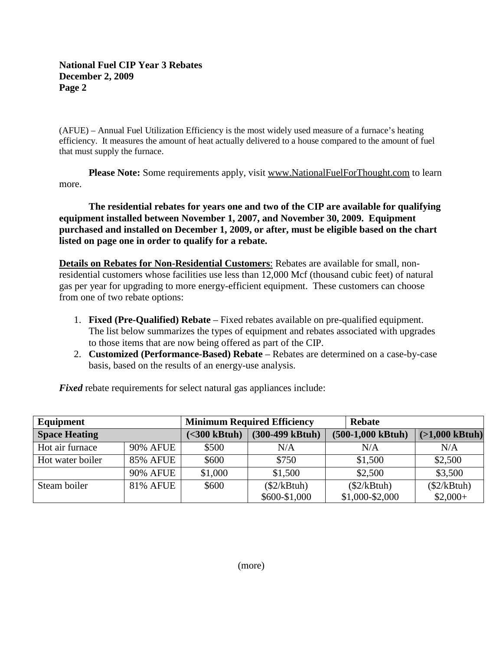## **National Fuel CIP Year 3 Rebates December 2, 2009 Page 2**

(AFUE) – Annual Fuel Utilization Efficiency is the most widely used measure of a furnace's heating efficiency. It measures the amount of heat actually delivered to a house compared to the amount of fuel that must supply the furnace.

**Please Note:** Some requirements apply, visit www.NationalFuelForThought.com to learn more.

**The residential rebates for years one and two of the CIP are available for qualifying equipment installed between November 1, 2007, and November 30, 2009. Equipment purchased and installed on December 1, 2009, or after, must be eligible based on the chart listed on page one in order to qualify for a rebate.**

**Details on Rebates for Non-Residential Customers**: Rebates are available for small, nonresidential customers whose facilities use less than 12,000 Mcf (thousand cubic feet) of natural gas per year for upgrading to more energy-efficient equipment. These customers can choose from one of two rebate options:

- 1. **Fixed (Pre-Qualified) Rebate** Fixed rebates available on pre-qualified equipment. The list below summarizes the types of equipment and rebates associated with upgrades to those items that are now being offered as part of the CIP.
- 2. **Customized (Performance-Based) Rebate** Rebates are determined on a case-by-case basis, based on the results of an energy-use analysis.

*Fixed* rebate requirements for select natural gas appliances include:

| Equipment            |                 | <b>Minimum Required Efficiency</b> |                            | <b>Rebate</b>       |                  |
|----------------------|-----------------|------------------------------------|----------------------------|---------------------|------------------|
| <b>Space Heating</b> |                 | $(<300$ kBtuh)                     | $(300-499 \text{ kB}$ tuh) | $(500-1,000$ kBtuh) | $(>1,000$ kBtuh) |
| Hot air furnace      | <b>90% AFUE</b> | \$500                              | N/A                        | N/A                 | N/A              |
| Hot water boiler     | <b>85% AFUE</b> | \$600                              | \$750                      | \$1,500             | \$2,500          |
|                      | <b>90% AFUE</b> | \$1,000                            | \$1,500                    | \$2,500             | \$3,500          |
| Steam boiler         | <b>81% AFUE</b> | \$600                              | $(\$2/kBtuh)$              | (\$2/kBtuh)         | $(\$2/kBtuh)$    |
|                      |                 |                                    | \$600-\$1,000              | $$1,000 - $2,000$   | $$2,000+$        |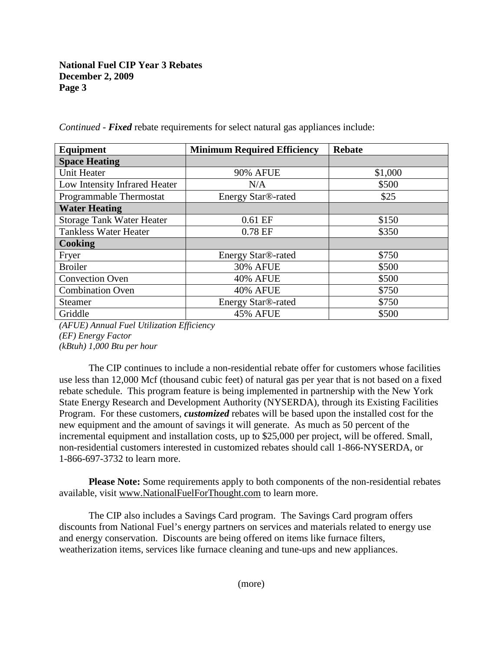## **National Fuel CIP Year 3 Rebates December 2, 2009 Page 3**

| Equipment                        | <b>Minimum Required Efficiency</b> | <b>Rebate</b> |  |
|----------------------------------|------------------------------------|---------------|--|
| <b>Space Heating</b>             |                                    |               |  |
| Unit Heater                      | <b>90% AFUE</b>                    | \$1,000       |  |
| Low Intensity Infrared Heater    | N/A                                | \$500         |  |
| Programmable Thermostat          | Energy Star®-rated                 | \$25          |  |
| <b>Water Heating</b>             |                                    |               |  |
| <b>Storage Tank Water Heater</b> | $0.61$ EF                          | \$150         |  |
| <b>Tankless Water Heater</b>     | 0.78 EF                            | \$350         |  |
| Cooking                          |                                    |               |  |
| Fryer                            | Energy Star®-rated                 | \$750         |  |
| <b>Broiler</b>                   | <b>30% AFUE</b>                    | \$500         |  |
| <b>Convection Oven</b>           | <b>40% AFUE</b>                    | \$500         |  |
| <b>Combination Oven</b>          | <b>40% AFUE</b>                    | \$750         |  |
| <b>Steamer</b>                   | Energy Star®-rated                 | \$750         |  |
| Griddle                          | <b>45% AFUE</b>                    | \$500         |  |

*Continued - Fixed* rebate requirements for select natural gas appliances include:

*(AFUE) Annual Fuel Utilization Efficiency (EF) Energy Factor (kBtuh) 1,000 Btu per hour*

The CIP continues to include a non-residential rebate offer for customers whose facilities use less than 12,000 Mcf (thousand cubic feet) of natural gas per year that is not based on a fixed rebate schedule. This program feature is being implemented in partnership with the New York State Energy Research and Development Authority (NYSERDA), through its Existing Facilities Program. For these customers, *customized* rebates will be based upon the installed cost for the new equipment and the amount of savings it will generate. As much as 50 percent of the incremental equipment and installation costs, up to \$25,000 per project, will be offered. Small, non-residential customers interested in customized rebates should call 1-866-NYSERDA, or 1-866-697-3732 to learn more.

**Please Note:** Some requirements apply to both components of the non-residential rebates available, visit www.NationalFuelForThought.com to learn more.

The CIP also includes a Savings Card program. The Savings Card program offers discounts from National Fuel's energy partners on services and materials related to energy use and energy conservation. Discounts are being offered on items like furnace filters, weatherization items, services like furnace cleaning and tune-ups and new appliances.